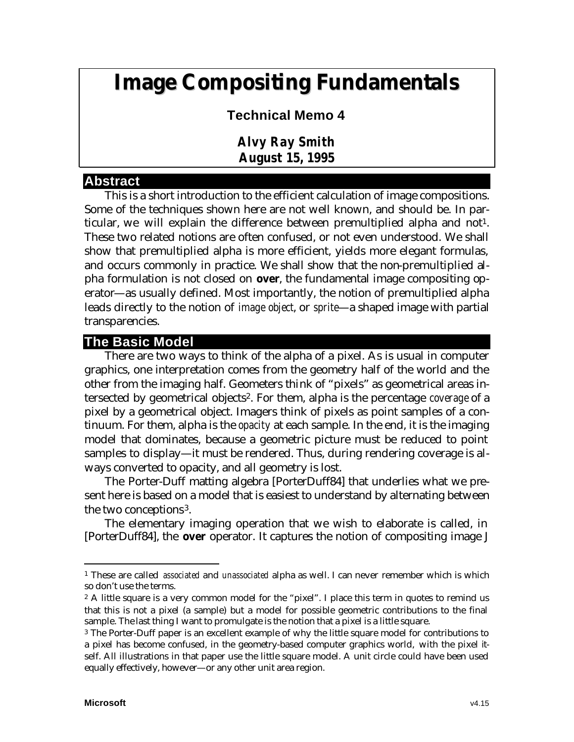# **Image Compositing Fundamentals**

# **Technical Memo 4**

*Alvy Ray Smith August 15, 1995*

#### **Abstract**

This is a short introduction to the efficient calculation of image compositions. Some of the techniques shown here are not well known, and should be. In particular, we will explain the difference between premultiplied alpha and not<sup>1</sup>. These two related notions are often confused, or not even understood. We shall show that premultiplied alpha is more efficient, yields more elegant formulas, and occurs commonly in practice. We shall show that the non-premultiplied alpha formulation is not closed on **over**, the fundamental image compositing operator—as usually defined. Most importantly, the notion of premultiplied alpha leads directly to the notion of *image object*, or *sprite*—a shaped image with partial transparencies.

# **The Basic Model**

There are two ways to think of the alpha of a pixel. As is usual in computer graphics, one interpretation comes from the geometry half of the world and the other from the imaging half. Geometers think of "pixels" as geometrical areas intersected by geometrical objects2. For them, alpha is the percentage *coverage* of a pixel by a geometrical object. Imagers think of pixels as point samples of a continuum. For them, alpha is the *opacity* at each sample. In the end, it is the imaging model that dominates, because a geometric picture must be reduced to point samples to display—it must be rendered. Thus, during rendering coverage is always converted to opacity, and all geometry is lost.

The Porter-Duff matting algebra [PorterDuff84] that underlies what we present here is based on a model that is easiest to understand by alternating between the two conceptions3.

The elementary imaging operation that we wish to elaborate is called, in [PorterDuff84], the **over** operator. It captures the notion of compositing image J

<sup>1</sup> These are called *associated* and *unassociated* alpha as well. I can never remember which is which so don't use the terms.

 $2$  A little square is a very common model for the "pixel". I place this term in quotes to remind us that this is not a pixel (a sample) but a model for possible geometric contributions to the final sample. The last thing I want to promulgate is the notion that a pixel is a little square.

<sup>&</sup>lt;sup>3</sup> The Porter-Duff paper is an excellent example of why the little square model for contributions to a pixel has become confused, in the geometry-based computer graphics world, with the pixel itself. All illustrations in that paper use the little square model. A unit circle could have been used equally effectively, however—or any other unit area region.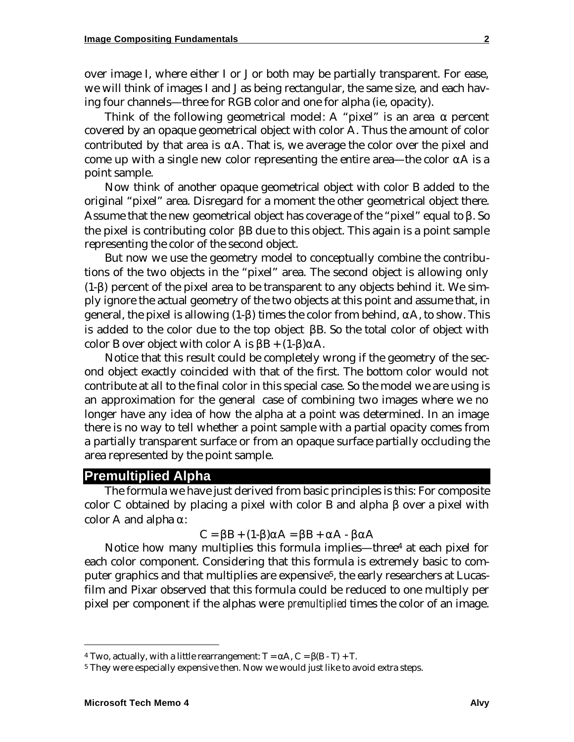over image I, where either I or J or both may be partially transparent. For ease, we will think of images I and J as being rectangular, the same size, and each having four channels—three for RGB color and one for alpha (ie, opacity).

Think of the following geometrical model: A "pixel" is an area  $\alpha$  percent covered by an opaque geometrical object with color A. Thus the amount of color contributed by that area is  $\alpha A$ . That is, we average the color over the pixel and come up with a single new color representing the entire area—the color αA is a point sample.

Now think of another opaque geometrical object with color B added to the original "pixel" area. Disregard for a moment the other geometrical object there. Assume that the new geometrical object has coverage of the "pixel" equal to  $\beta$ . So the pixel is contributing color βB due to this object. This again is a point sample representing the color of the second object.

But now we use the geometry model to conceptually combine the contributions of the two objects in the "pixel" area. The second object is allowing only (1-β) percent of the pixel area to be transparent to any objects behind it. We simply ignore the actual geometry of the two objects at this point and assume that, in general, the pixel is allowing (1-β) times the color from behind, αA, to show. This is added to the color due to the top object βB. So the total color of object with color B over object with color A is  $\beta B + (1-\beta)\alpha A$ .

Notice that this result could be completely wrong if the geometry of the second object exactly coincided with that of the first. The bottom color would not contribute at all to the final color in this special case. So the model we are using is an approximation for the general case of combining two images where we no longer have any idea of how the alpha at a point was determined. In an image there is no way to tell whether a point sample with a partial opacity comes from a partially transparent surface or from an opaque surface partially occluding the area represented by the point sample.

#### **Premultiplied Alpha**

The formula we have just derived from basic principles is this: For composite color C obtained by placing a pixel with color B and alpha β over a pixel with color A and alpha  $\alpha$ :

$$
C = \beta B + (1-\beta)\alpha A = \beta B + \alpha A - \beta \alpha A
$$

Notice how many multiplies this formula implies—three4 at each pixel for each color component. Considering that this formula is extremely basic to computer graphics and that multiplies are expensive<sup>5</sup>, the early researchers at Lucasfilm and Pixar observed that this formula could be reduced to one multiply per pixel per component if the alphas were *premultiplied* times the color of an image.

<sup>&</sup>lt;sup>4</sup> Two, actually, with a little rearrangement:  $T = \alpha A$ ,  $C = \beta(B - T) + T$ .

<sup>&</sup>lt;sup>5</sup> They were especially expensive then. Now we would just like to avoid extra steps.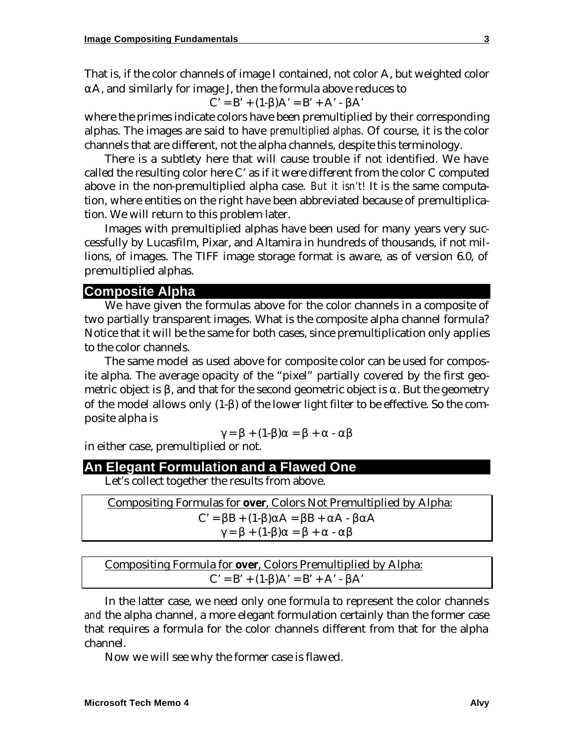That is, if the color channels of image I contained, not color A, but weighted color  $\alpha$ A, and similarly for image J, then the formula above reduces to

$$
C' = B' + (1-\beta)A' = B' + A' - \beta A'
$$

where the primes indicate colors have been premultiplied by their corresponding alphas. The images are said to have *premultiplied alphas*. Of course, it is the color channels that are different, not the alpha channels, despite this terminology.

There is a subtlety here that will cause trouble if not identified. We have called the resulting color here C' as if it were different from the color C computed above in the non-premultiplied alpha case. *But it isn't!* It is the same computation, where entities on the right have been abbreviated because of premultiplication. We will return to this problem later.

Images with premultiplied alphas have been used for many years very successfully by Lucasfilm, Pixar, and Altamira in hundreds of thousands, if not millions, of images. The TIFF image storage format is aware, as of version 6.0, of premultiplied alphas.

#### **Composite Alpha**

We have given the formulas above for the color channels in a composite of two partially transparent images. What is the composite alpha channel formula? Notice that it will be the same for both cases, since premultiplication only applies to the color channels.

The same model as used above for composite color can be used for composite alpha. The average opacity of the "pixel" partially covered by the first geometric object is  $\beta$ , and that for the second geometric object is  $\alpha$ . But the geometry of the model allows only (1-β) of the lower light filter to be effective. So the composite alpha is

$$
\gamma = \beta + (1-\beta)\alpha = \beta + \alpha - \alpha\beta
$$

in either case, premultiplied or not.

#### **An Elegant Formulation and a Flawed One**

Let's collect together the results from above.

| Compositing Formulas for <b>over</b> , Colors Not Premultiplied by Alpha: |
|---------------------------------------------------------------------------|
| $C' = \beta B + (1-\beta)\alpha A = \beta B + \alpha A - \beta \alpha A$  |
| $\gamma = \beta + (1-\beta)\alpha = \beta + \alpha - \alpha\beta$         |

| Compositing Formula for <b>over</b> , Colors Premultiplied by Alpha: |
|----------------------------------------------------------------------|
| $C' = B' + (1-\beta)A' = B' + A' - \beta A'$                         |

In the latter case, we need only one formula to represent the color channels *and* the alpha channel, a more elegant formulation certainly than the former case that requires a formula for the color channels different from that for the alpha channel.

Now we will see why the former case is flawed.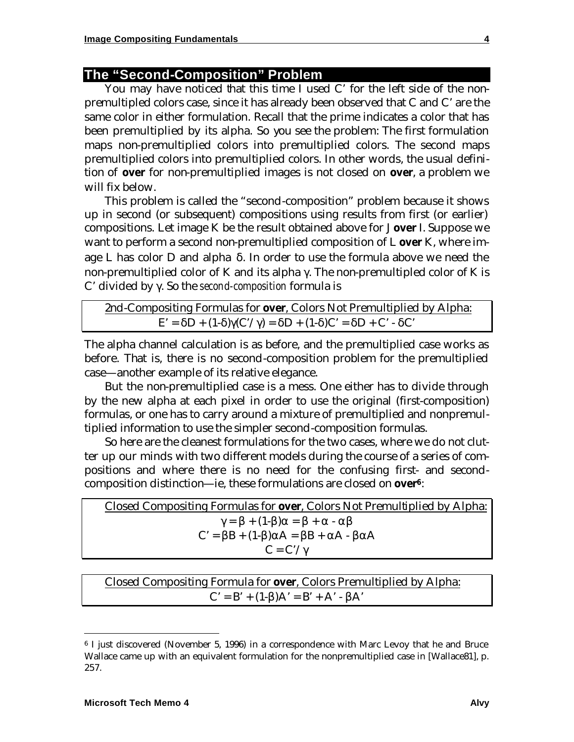# **The "Second-Composition" Problem**

You may have noticed that this time I used C' for the left side of the nonpremultipled colors case, since it has already been observed that C and C' are the same color in either formulation. Recall that the prime indicates a color that has been premultiplied by its alpha. So you see the problem: The first formulation maps non-premultiplied colors into premultiplied colors. The second maps premultiplied colors into premultiplied colors. In other words, the usual definition of **over** for non-premultiplied images is not closed on **over**, a problem we will fix below.

This problem is called the "second-composition" problem because it shows up in second (or subsequent) compositions using results from first (or earlier) compositions. Let image K be the result obtained above for J **over** I. Suppose we want to perform a second non-premultiplied composition of L **over** K, where image L has color D and alpha δ. In order to use the formula above we need the non-premultiplied color of K and its alpha γ. The non-premultipled color of K is C' divided by γ. So the *second-composition* formula is

```
2nd-Compositing Formulas for over, Colors Not Premultiplied by Alpha:
E' = \deltaD + (1-δ)\gamma(C'/\gamma) = \deltaD + (1-δ)C' = \deltaD + C' - δC'
```
The alpha channel calculation is as before, and the premultiplied case works as before. That is, there is no second-composition problem for the premultiplied case—another example of its relative elegance.

But the non-premultiplied case is a mess. One either has to divide through by the new alpha at each pixel in order to use the original (first-composition) formulas, or one has to carry around a mixture of premultiplied and nonpremultiplied information to use the simpler second-composition formulas.

So here are the cleanest formulations for the two cases, where we do not clutter up our minds with two different models during the course of a series of compositions and where there is no need for the confusing first- and secondcomposition distinction—ie, these formulations are closed on **over<sup>6</sup>**:

| Closed Compositing Formulas for <b>over</b> , Colors Not Premultiplied by Alpha: |
|----------------------------------------------------------------------------------|
| $\gamma = \beta + (1-\beta)\alpha = \beta + \alpha - \alpha\beta$                |
| $C' = \beta B + (1-\beta)\alpha A = \beta B + \alpha A - \beta \alpha A$         |
| $C = C'/\gamma$                                                                  |

Closed Compositing Formula for **over**, Colors Premultiplied by Alpha:  $C' = B' + (1-β)A' = B' + A' - βA'$ 

<sup>6</sup> I just discovered (November 5, 1996) in a correspondence with Marc Levoy that he and Bruce Wallace came up with an equivalent formulation for the nonpremultiplied case in [Wallace81], p. 257.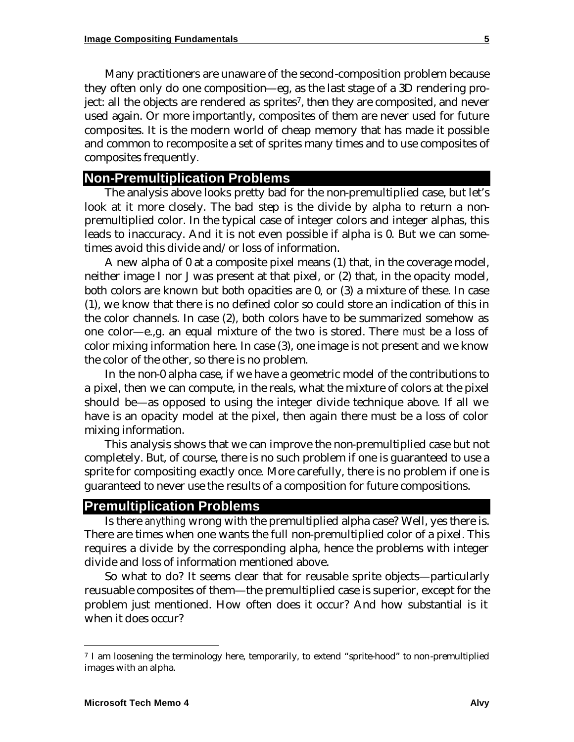Many practitioners are unaware of the second-composition problem because they often only do one composition—eg, as the last stage of a 3D rendering project: all the objects are rendered as sprites7, then they are composited, and never used again. Or more importantly, composites of them are never used for future composites. It is the modern world of cheap memory that has made it possible and common to recomposite a set of sprites many times and to use composites of composites frequently.

#### **Non-Premultiplication Problems**

The analysis above looks pretty bad for the non-premultiplied case, but let's look at it more closely. The bad step is the divide by alpha to return a nonpremultiplied color. In the typical case of integer colors and integer alphas, this leads to inaccuracy. And it is not even possible if alpha is 0. But we can sometimes avoid this divide and/or loss of information.

A new alpha of 0 at a composite pixel means (1) that, in the coverage model, neither image I nor J was present at that pixel, or (2) that, in the opacity model, both colors are known but both opacities are 0, or (3) a mixture of these. In case (1), we know that there is no defined color so could store an indication of this in the color channels. In case (2), both colors have to be summarized somehow as one color—e.,g. an equal mixture of the two is stored. There *must* be a loss of color mixing information here. In case (3), one image is not present and we know the color of the other, so there is no problem.

In the non-0 alpha case, if we have a geometric model of the contributions to a pixel, then we can compute, in the reals, what the mixture of colors at the pixel should be—as opposed to using the integer divide technique above. If all we have is an opacity model at the pixel, then again there must be a loss of color mixing information.

This analysis shows that we can improve the non-premultiplied case but not completely. But, of course, there is no such problem if one is guaranteed to use a sprite for compositing exactly once. More carefully, there is no problem if one is guaranteed to never use the results of a composition for future compositions.

# **Premultiplication Problems**

Is there *anything* wrong with the premultiplied alpha case? Well, yes there is. There are times when one wants the full non-premultiplied color of a pixel. This requires a divide by the corresponding alpha, hence the problems with integer divide and loss of information mentioned above.

So what to do? It seems clear that for reusable sprite objects—particularly reusuable composites of them—the premultiplied case is superior, except for the problem just mentioned. How often does it occur? And how substantial is it when it does occur?

<sup>&</sup>lt;sup>7</sup> I am loosening the terminology here, temporarily, to extend "sprite-hood" to non-premultiplied images with an alpha.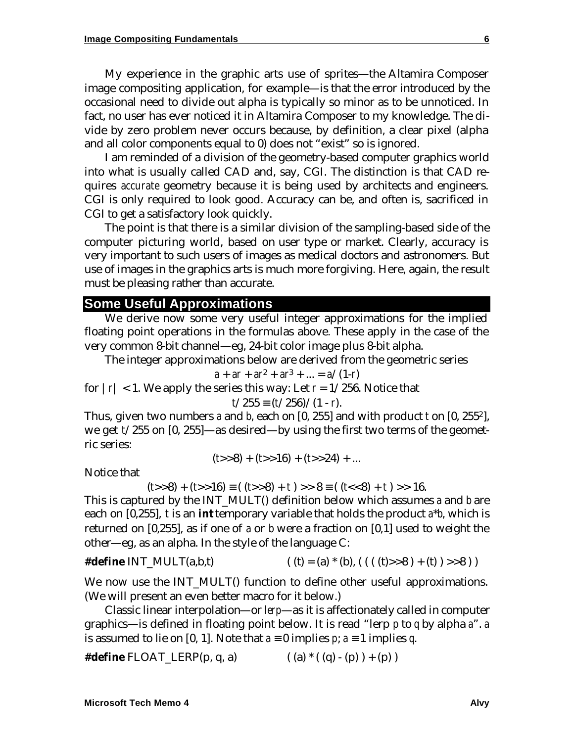My experience in the graphic arts use of sprites—the Altamira Composer image compositing application, for example—is that the error introduced by the occasional need to divide out alpha is typically so minor as to be unnoticed. In fact, no user has ever noticed it in Altamira Composer to my knowledge. The divide by zero problem never occurs because, by definition, a clear pixel (alpha and all color components equal to 0) does not "exist" so is ignored.

I am reminded of a division of the geometry-based computer graphics world into what is usually called CAD and, say, CGI. The distinction is that CAD requires *accurate* geometry because it is being used by architects and engineers. CGI is only required to look good. Accuracy can be, and often is, sacrificed in CGI to get a satisfactory look quickly.

The point is that there is a similar division of the sampling-based side of the computer picturing world, based on user type or market. Clearly, accuracy is very important to such users of images as medical doctors and astronomers. But use of images in the graphics arts is much more forgiving. Here, again, the result must be pleasing rather than accurate.

## **Some Useful Approximations**

We derive now some very useful integer approximations for the implied floating point operations in the formulas above. These apply in the case of the very common 8-bit channel—eg, 24-bit color image plus 8-bit alpha.

The integer approximations below are derived from the geometric series

$$
a + ar + ar^2 + ar^3 + \ldots = a/(1-r)
$$

for  $|r| < 1$ . We apply the series this way: Let  $r = 1/256$ . Notice that

$$
t/255 \equiv (t/256)/(1-r).
$$

Thus, given two numbers *a* and *b*, each on [0, 255] and with product *t* on [0, 2552], we get *t*/255 on [0, 255]—as desired—by using the first two terms of the geometric series:

$$
(t>>8) + (t>>16) + (t>>24) + ...
$$

Notice that

$$
(t>>8) + (t>>16) \equiv ((t>>8) + t) >> 8 \equiv ((t<<8) + t) >> 16.
$$

This is captured by the INT\_MULT() definition below which assumes *a* and *b* are each on [0,255], *t* is an **int** temporary variable that holds the product *a*\**b*, which is returned on [0,255], as if one of *a* or *b* were a fraction on [0,1] used to weight the other—eg, as an alpha. In the style of the language C:

#define INT\_MULT(a,b,t) 
$$
((t) = (a) * (b), ((((t) > 8) + (t) ) > 8))
$$

We now use the INT\_MULT() function to define other useful approximations. (We will present an even better macro for it below.)

Classic linear interpolation—or *lerp*—as it is affectionately called in computer graphics—is defined in floating point below. It is read "lerp *p* to *q* by alpha *a*". *a* is assumed to lie on [0, 1]. Note that  $a = 0$  implies  $p$ ;  $a = 1$  implies  $q$ .

**#define** FLOAT\_LERP(p, q, a) ( (a) \* ( (q) - (p) ) + (p) )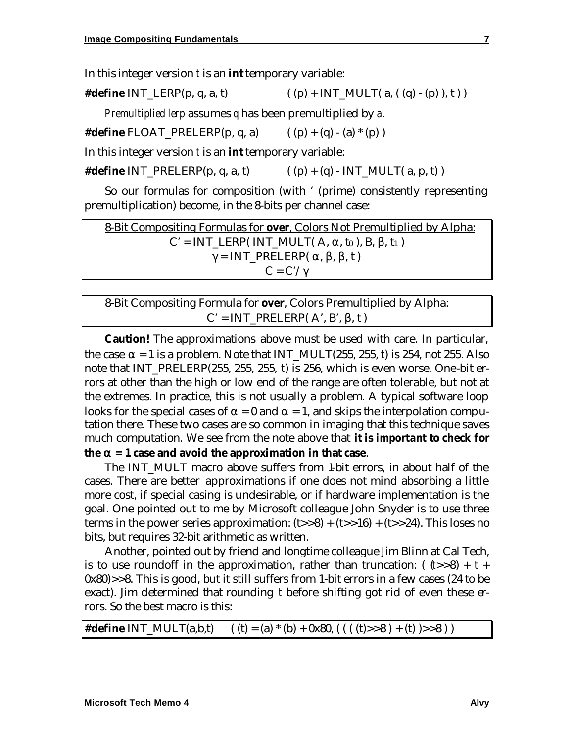In this integer version *t* is an **int** temporary variable:

**#define** INT LERP(p, q, a, t)  $((p) + INT \text{ MULT}( a, (q) - (p) ), t ) )$ 

*Premultiplied lerp* assumes *q* has been premultiplied by *a*.

**#define** FLOAT\_PRELERP(p, q, a) ( (p) + (q) - (a) \* (p) )

In this integer version *t* is an **int** temporary variable:

**#define** INT\_PRELERP(p, q, a, t)  $((p) + (q) - INT_MULT(a, p, t))$ 

So our formulas for composition (with ' (prime) consistently representing premultiplication) become, in the 8-bits per channel case:

8-Bit Compositing Formulas for **over**, Colors Not Premultiplied by Alpha:  $C' = INT\_LERP( INT_MULT(A, \alpha, t_0), B, \beta, t_1)$  $\gamma = INT\_PRELERP(\alpha, \beta, \beta, t)$  $C = C'/\gamma$ 

| 8-Bit Compositing Formula for <b>over</b> , Colors Premultiplied by Alpha: |  |  |
|----------------------------------------------------------------------------|--|--|
| $C' = INT\_PRELERP(A', B', \beta, t)$                                      |  |  |

**Caution!** The approximations above must be used with care. In particular, the case  $\alpha = 1$  is a problem. Note that INT\_MULT(255, 255, *t*) is 254, not 255. Also note that INT\_PRELERP(255, 255, 255, *t*) is 256, which is even worse. One-bit errors at other than the high or low end of the range are often tolerable, but not at the extremes. In practice, this is not usually a problem. A typical software loop looks for the special cases of  $\alpha = 0$  and  $\alpha = 1$ , and skips the interpolation computation there. These two cases are so common in imaging that this technique saves much computation. We see from the note above that **it is** *important* **to check for the a = 1 case and avoid the approximation in that case**.

The INT MULT macro above suffers from 1-bit errors, in about half of the cases. There are better approximations if one does not mind absorbing a little more cost, if special casing is undesirable, or if hardware implementation is the goal. One pointed out to me by Microsoft colleague John Snyder is to use three terms in the power series approximation:  $(t>>8) + (t>>16) + (t>>24)$ . This loses no bits, but requires 32-bit arithmetic as written.

Another, pointed out by friend and longtime colleague Jim Blinn at Cal Tech, is to use roundoff in the approximation, rather than truncation:  $((t>8) + t +$ 0x80)>>8. This is good, but it still suffers from 1-bit errors in a few cases (24 to be exact). Jim determined that rounding *t* before shifting got rid of even these errors. So the best macro is this:

|  | <b>#define</b> INT_MULT(a,b,t) $((t) = (a) * (b) + 0x80, ((((t) > 8) + (t) ) > 8))$ |  |
|--|-------------------------------------------------------------------------------------|--|
|--|-------------------------------------------------------------------------------------|--|